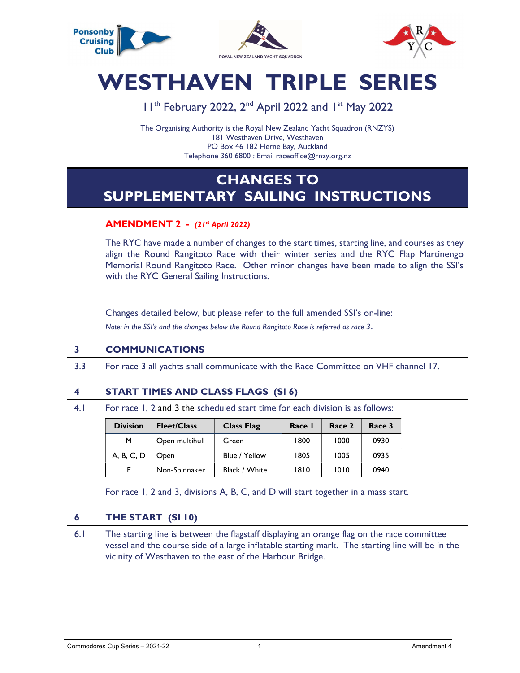

# WESTHAVEN TRIPLE SERIES

## 11<sup>th</sup> February 2022, 2<sup>nd</sup> April 2022 and 1<sup>st</sup> May 2022

The Organising Authority is the Royal New Zealand Yacht Squadron (RNZYS) 181 Westhaven Drive, Westhaven PO Box 46 182 Herne Bay, Auckland Telephone 360 6800 : Email raceoffice@rnzy.org.nz

# CHANGES TO SUPPLEMENTARY SAILING INSTRUCTIONS

#### **AMENDMENT 2 - (21st April 2022)**

 The RYC have made a number of changes to the start times, starting line, and courses as they align the Round Rangitoto Race with their winter series and the RYC Flap Martinengo Memorial Round Rangitoto Race. Other minor changes have been made to align the SSI's with the RYC General Sailing Instructions.

Changes detailed below, but please refer to the full amended SSI's on-line: Note: in the SSI's and the changes below the Round Rangitoto Race is referred as race 3.

#### 3 COMMUNICATIONS

3.3 For race 3 all yachts shall communicate with the Race Committee on VHF channel 17.

#### 4 START TIMES AND CLASS FLAGS (SI 6)

4.1 For race 1, 2 and 3 the scheduled start time for each division is as follows:

| <b>Division</b> | <b>Fleet/Class</b> | <b>Class Flag</b> | Race I | Race 2 | Race 3 |
|-----------------|--------------------|-------------------|--------|--------|--------|
| м               | Open multihull     | Green             | 1800   | 1000   | 0930   |
| A, B, C, D      | Open               | Blue / Yellow     | 1805   | 1005   | 0935   |
| E.              | Non-Spinnaker      | Black / White     | 1810   | 1010   | 0940   |

For race 1, 2 and 3, divisions A, B, C, and D will start together in a mass start.

#### 6 THE START (SI 10)

 6.1 The starting line is between the flagstaff displaying an orange flag on the race committee vessel and the course side of a large inflatable starting mark. The starting line will be in the vicinity of Westhaven to the east of the Harbour Bridge.